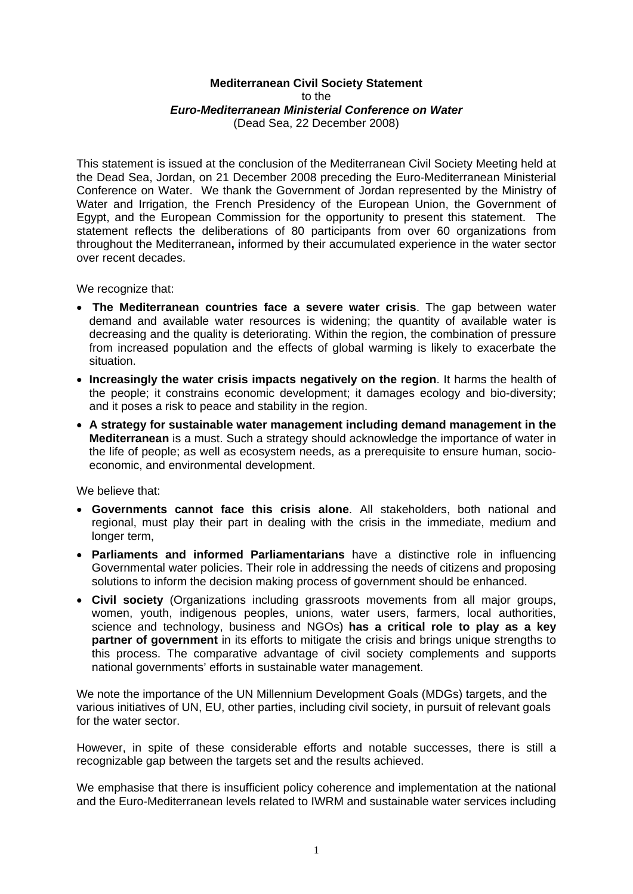## **Mediterranean Civil Society Statement**  to the *Euro-Mediterranean Ministerial Conference on Water*  (Dead Sea, 22 December 2008)

This statement is issued at the conclusion of the Mediterranean Civil Society Meeting held at the Dead Sea, Jordan, on 21 December 2008 preceding the Euro-Mediterranean Ministerial Conference on Water. We thank the Government of Jordan represented by the Ministry of Water and Irrigation, the French Presidency of the European Union, the Government of Egypt, and the European Commission for the opportunity to present this statement. The statement reflects the deliberations of 80 participants from over 60 organizations from throughout the Mediterranean**,** informed by their accumulated experience in the water sector over recent decades.

We recognize that:

- • **The Mediterranean countries face a severe water crisis**. The gap between water demand and available water resources is widening; the quantity of available water is decreasing and the quality is deteriorating. Within the region, the combination of pressure from increased population and the effects of global warming is likely to exacerbate the situation.
- **Increasingly the water crisis impacts negatively on the region**. It harms the health of the people; it constrains economic development; it damages ecology and bio-diversity; and it poses a risk to peace and stability in the region.
- **A strategy for sustainable water management including demand management in the Mediterranean** is a must. Such a strategy should acknowledge the importance of water in the life of people; as well as ecosystem needs, as a prerequisite to ensure human, socioeconomic, and environmental development.

We believe that:

- **Governments cannot face this crisis alone**. All stakeholders, both national and regional, must play their part in dealing with the crisis in the immediate, medium and longer term.
- **Parliaments and informed Parliamentarians** have a distinctive role in influencing Governmental water policies. Their role in addressing the needs of citizens and proposing solutions to inform the decision making process of government should be enhanced.
- **Civil society** (Organizations including grassroots movements from all major groups, women, youth, indigenous peoples, unions, water users, farmers, local authorities, science and technology, business and NGOs) **has a critical role to play as a key partner of government** in its efforts to mitigate the crisis and brings unique strengths to this process. The comparative advantage of civil society complements and supports national governments' efforts in sustainable water management.

We note the importance of the UN Millennium Development Goals (MDGs) targets, and the various initiatives of UN, EU, other parties, including civil society, in pursuit of relevant goals for the water sector.

However, in spite of these considerable efforts and notable successes, there is still a recognizable gap between the targets set and the results achieved.

We emphasise that there is insufficient policy coherence and implementation at the national and the Euro-Mediterranean levels related to IWRM and sustainable water services including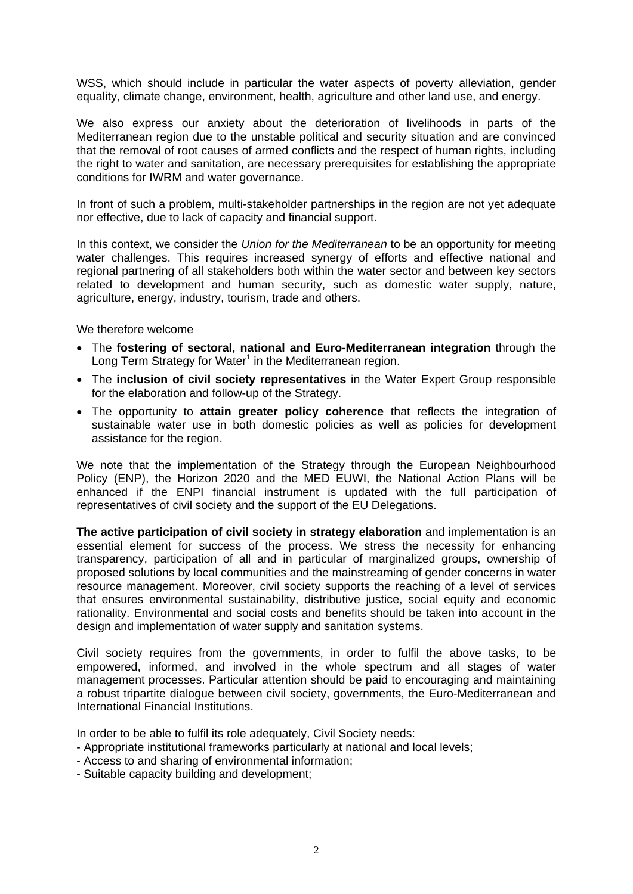WSS, which should include in particular the water aspects of poverty alleviation, gender equality, climate change, environment, health, agriculture and other land use, and energy.

We also express our anxiety about the deterioration of livelihoods in parts of the Mediterranean region due to the unstable political and security situation and are convinced that the removal of root causes of armed conflicts and the respect of human rights, including the right to water and sanitation, are necessary prerequisites for establishing the appropriate conditions for IWRM and water governance.

In front of such a problem, multi-stakeholder partnerships in the region are not yet adequate nor effective, due to lack of capacity and financial support.

In this context, we consider the *Union for the Mediterranean* to be an opportunity for meeting water challenges. This requires increased synergy of efforts and effective national and regional partnering of all stakeholders both within the water sector and between key sectors related to development and human security, such as domestic water supply, nature, agriculture, energy, industry, tourism, trade and others.

We therefore welcome

- The **fostering of sectoral, national and Euro-Mediterranean integration** through the Long Term Strategy for Water<sup>1</sup> in the Mediterranean region.
- The **inclusion of civil society representatives** in the Water Expert Group responsible for the elaboration and follow-up of the Strategy.
- The opportunity to **attain greater policy coherence** that reflects the integration of sustainable water use in both domestic policies as well as policies for development assistance for the region.

We note that the implementation of the Strategy through the European Neighbourhood Policy (ENP), the Horizon 2020 and the MED EUWI, the National Action Plans will be enhanced if the ENPI financial instrument is updated with the full participation of representatives of civil society and the support of the EU Delegations.

**The active participation of civil society in strategy elaboration** and implementation is an essential element for success of the process. We stress the necessity for enhancing transparency, participation of all and in particular of marginalized groups, ownership of proposed solutions by local communities and the mainstreaming of gender concerns in water resource management. Moreover, civil society supports the reaching of a level of services that ensures environmental sustainability, distributive justice, social equity and economic rationality. Environmental and social costs and benefits should be taken into account in the design and implementation of water supply and sanitation systems.

Civil society requires from the governments, in order to fulfil the above tasks, to be empowered, informed, and involved in the whole spectrum and all stages of water management processes. Particular attention should be paid to encouraging and maintaining a robust tripartite dialogue between civil society, governments, the Euro-Mediterranean and International Financial Institutions.

In order to be able to fulfil its role adequately, Civil Society needs:

- Appropriate institutional frameworks particularly at national and local levels;
- Access to and sharing of environmental information;
- Suitable capacity building and development;

 $\overline{a}$